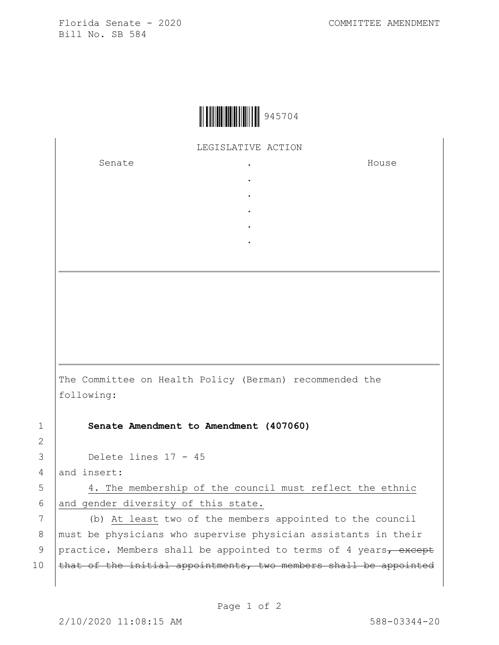Florida Senate - 2020 COMMITTEE AMENDMENT Bill No. SB 584



LEGISLATIVE ACTION

. . . . .

Senate .

House

The Committee on Health Policy (Berman) recommended the following:

1 **Senate Amendment to Amendment (407060)** 

3 Delete lines 17 - 45

4 and insert:

2

5 4. The membership of the council must reflect the ethnic 6 and gender diversity of this state.

7 (b) At least two of the members appointed to the council 8 | must be physicians who supervise physician assistants in their 9 practice. Members shall be appointed to terms of 4 years, except 10  $\theta$  that of the initial appointments, two members shall be appointed